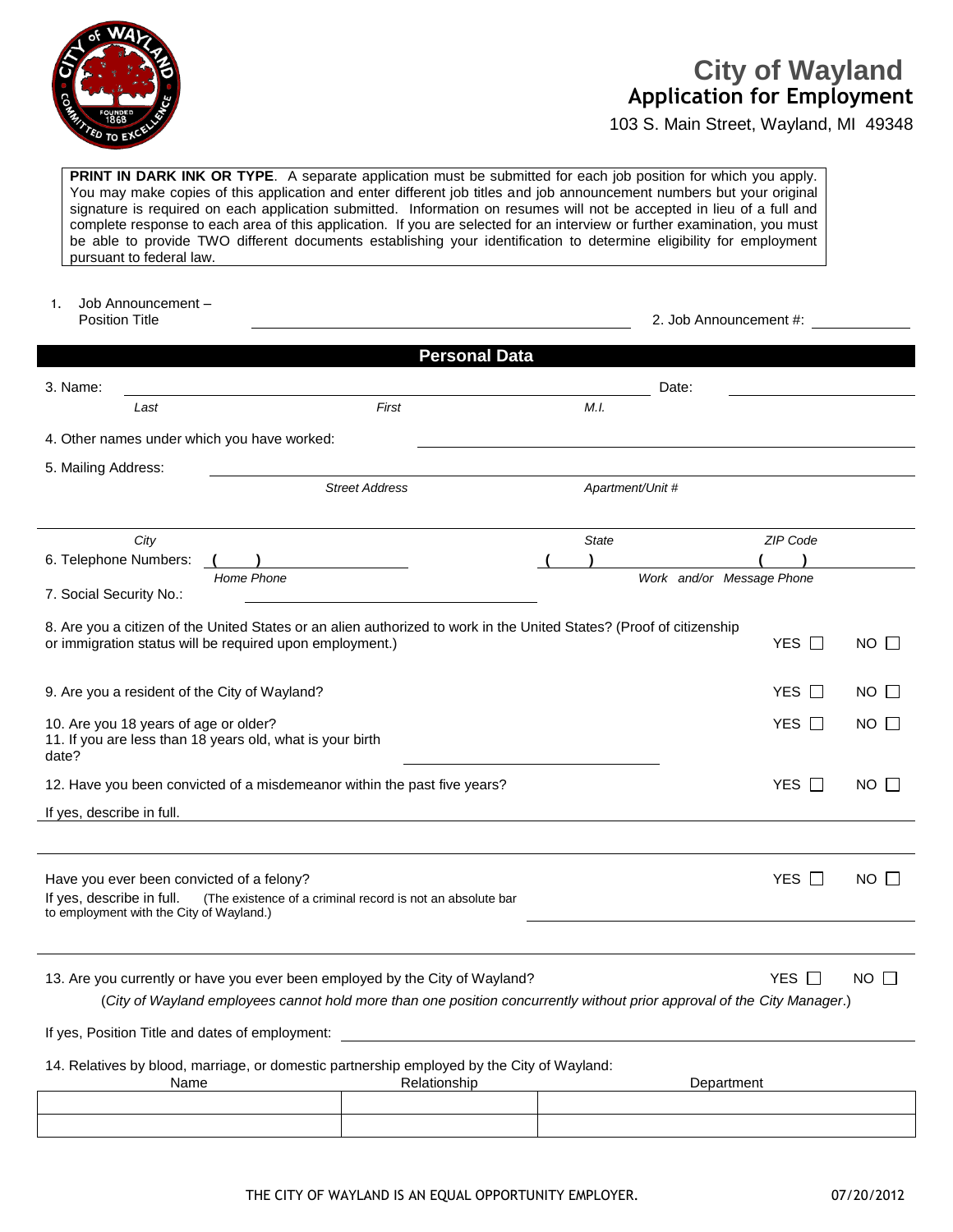

## **Application for Employment City of Wayland**

103 S. Main Street, Wayland, MI 49348

**PRINT IN DARK INK OR TYPE.** A separate application must be submitted for each job position for which you apply. You may make copies of this application and enter different job titles and job announcement numbers but your original signature is required on each application submitted. Information on resumes will not be accepted in lieu of a full and complete response to each area of this application. If you are selected for an interview or further examination, you must be able to provide TWO different documents establishing your identification to determine eligibility for employment pursuant to federal law.

1. Job Announcement – Position Title 2. Job Announcement #:

|                           |                                                                                       | <b>Personal Data</b>                                                                                                                                                                                    |  |                  |                           |                       |             |
|---------------------------|---------------------------------------------------------------------------------------|---------------------------------------------------------------------------------------------------------------------------------------------------------------------------------------------------------|--|------------------|---------------------------|-----------------------|-------------|
|                           |                                                                                       |                                                                                                                                                                                                         |  |                  |                           |                       |             |
| 3. Name:                  | Last                                                                                  | First                                                                                                                                                                                                   |  | M.L.             | Date:                     |                       |             |
|                           |                                                                                       | 4. Other names under which you have worked:                                                                                                                                                             |  |                  |                           |                       |             |
| 5. Mailing Address:       |                                                                                       |                                                                                                                                                                                                         |  |                  |                           |                       |             |
|                           |                                                                                       | <b>Street Address</b>                                                                                                                                                                                   |  | Apartment/Unit # |                           |                       |             |
|                           | City                                                                                  |                                                                                                                                                                                                         |  | <b>State</b>     |                           | ZIP Code              |             |
|                           | 6. Telephone Numbers:                                                                 | Home Phone                                                                                                                                                                                              |  |                  |                           |                       |             |
| 7. Social Security No.:   |                                                                                       |                                                                                                                                                                                                         |  |                  | Work and/or Message Phone |                       |             |
|                           |                                                                                       | 8. Are you a citizen of the United States or an alien authorized to work in the United States? (Proof of citizenship<br>or immigration status will be required upon employment.)                        |  |                  |                           | YES $\Box$            | $NO$ $\Box$ |
|                           |                                                                                       | 9. Are you a resident of the City of Wayland?                                                                                                                                                           |  |                  |                           | YES $\Box$            | NO I        |
| date?                     | 10. Are you 18 years of age or older?                                                 | 11. If you are less than 18 years old, what is your birth                                                                                                                                               |  |                  |                           | <b>YES</b><br>$\perp$ | NO I I      |
|                           |                                                                                       | 12. Have you been convicted of a misdemeanor within the past five years?                                                                                                                                |  |                  |                           | YES $\Box$            | NO I I      |
| If yes, describe in full. |                                                                                       |                                                                                                                                                                                                         |  |                  |                           |                       |             |
|                           |                                                                                       |                                                                                                                                                                                                         |  |                  |                           |                       |             |
| If yes, describe in full. | Have you ever been convicted of a felony?<br>to employment with the City of Wayland.) | (The existence of a criminal record is not an absolute bar                                                                                                                                              |  |                  |                           | YES $\Box$            | NO I I      |
|                           |                                                                                       |                                                                                                                                                                                                         |  |                  |                           |                       |             |
|                           |                                                                                       | 13. Are you currently or have you ever been employed by the City of Wayland?<br>(City of Wayland employees cannot hold more than one position concurrently without prior approval of the City Manager.) |  |                  |                           | YES I                 | $NO$ $\Box$ |
|                           |                                                                                       | If yes, Position Title and dates of employment:                                                                                                                                                         |  |                  |                           |                       |             |

14. Relatives by blood, marriage, or domestic partnership employed by the City of Wayland:

| Name | Relationship | Department |
|------|--------------|------------|
|      |              |            |
|      |              |            |
|      |              |            |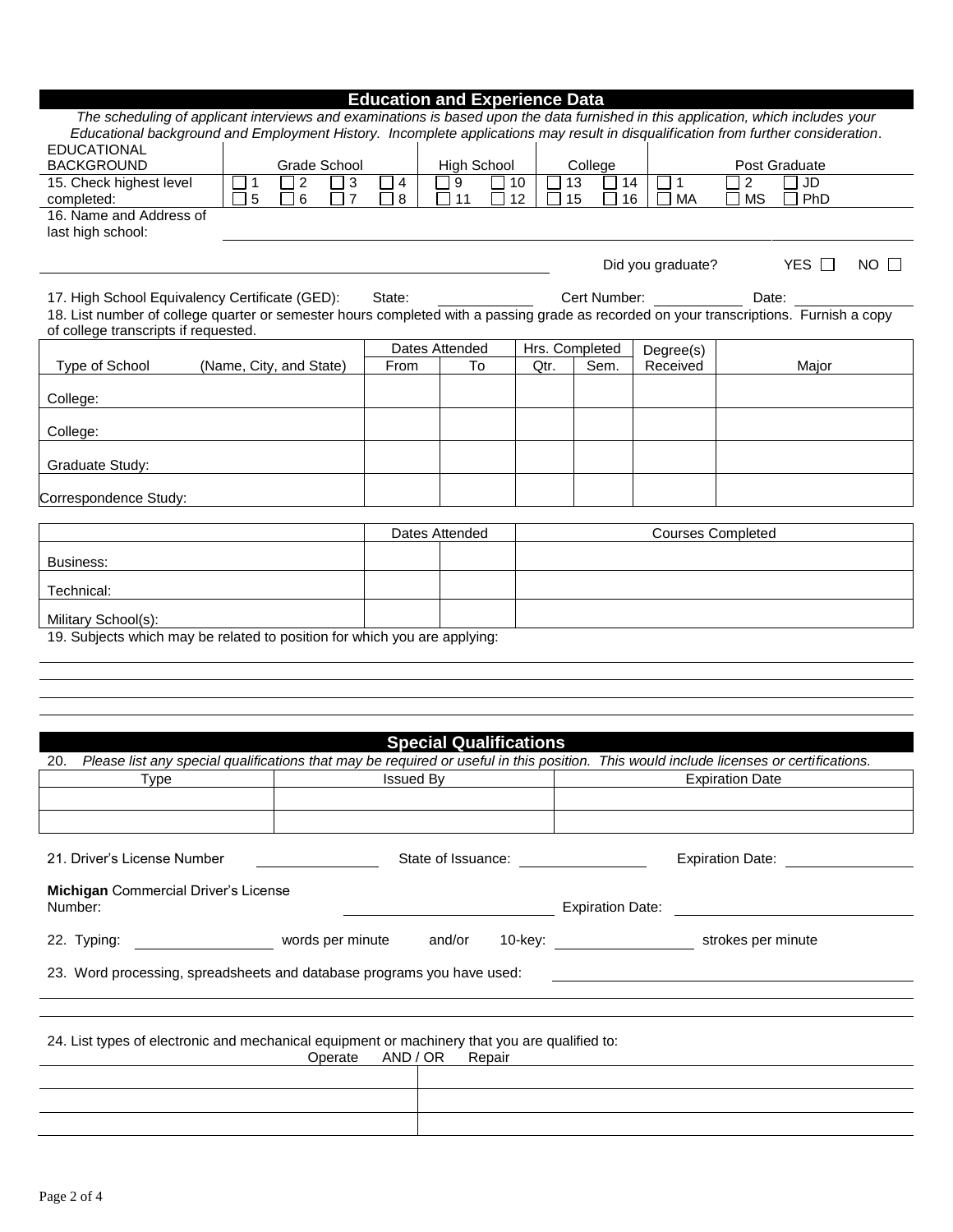| <b>Education and Experience Data</b> |  |  |  |  |
|--------------------------------------|--|--|--|--|
|                                      |  |  |  |  |

| The scheduling of applicant interviews and examinations is based upon the data furnished in this application, which includes your<br>Educational background and Employment History. Incomplete applications may result in disqualification from further consideration. |                         |                |                                |                  |                               |        |    |      |                |    |                   |                          |                |                                    |
|------------------------------------------------------------------------------------------------------------------------------------------------------------------------------------------------------------------------------------------------------------------------|-------------------------|----------------|--------------------------------|------------------|-------------------------------|--------|----|------|----------------|----|-------------------|--------------------------|----------------|------------------------------------|
| EDUCATIONAL                                                                                                                                                                                                                                                            |                         |                |                                |                  |                               |        |    |      |                |    |                   |                          |                |                                    |
| <b>BACKGROUND</b>                                                                                                                                                                                                                                                      |                         | Grade School   |                                |                  | <b>High School</b>            |        |    |      | College        |    |                   |                          | Post Graduate  |                                    |
| 15. Check highest level                                                                                                                                                                                                                                                | $\overline{1}$          | $\overline{2}$ | $\sqrt{3}$<br>×                | $\overline{4}$   | $\boldsymbol{9}$              |        | 10 |      | 13             | 14 | $\mathbf{1}$      | $\overline{c}$           | $\overline{J}$ |                                    |
| completed:                                                                                                                                                                                                                                                             | 5                       | 6              | $\overline{7}$<br>$\mathsf{L}$ | 8                | 11                            |        | 12 |      | 15             | 16 | MA                | <b>MS</b>                | PhD            |                                    |
| 16. Name and Address of<br>last high school:                                                                                                                                                                                                                           |                         |                |                                |                  |                               |        |    |      |                |    |                   |                          |                |                                    |
|                                                                                                                                                                                                                                                                        |                         |                |                                |                  |                               |        |    |      |                |    |                   |                          |                |                                    |
|                                                                                                                                                                                                                                                                        |                         |                |                                |                  |                               |        |    |      |                |    | Did you graduate? |                          | YES $\Box$     | $NO$ $\Box$                        |
|                                                                                                                                                                                                                                                                        |                         |                |                                |                  |                               |        |    |      |                |    |                   |                          |                |                                    |
| 17. High School Equivalency Certificate (GED):<br>18. List number of college quarter or semester hours completed with a passing grade as recorded on your transcriptions. Furnish a copy                                                                               |                         |                |                                | State:           |                               |        |    |      | Cert Number:   |    |                   | Date:                    |                |                                    |
| of college transcripts if requested.                                                                                                                                                                                                                                   |                         |                |                                |                  |                               |        |    |      |                |    |                   |                          |                |                                    |
|                                                                                                                                                                                                                                                                        |                         |                |                                |                  | Dates Attended                |        |    |      | Hrs. Completed |    | Degree(s)         |                          |                |                                    |
| Type of School                                                                                                                                                                                                                                                         | (Name, City, and State) |                |                                | From             | To                            |        |    | Qtr. | Sem.           |    | Received          |                          | Major          |                                    |
|                                                                                                                                                                                                                                                                        |                         |                |                                |                  |                               |        |    |      |                |    |                   |                          |                |                                    |
| College:                                                                                                                                                                                                                                                               |                         |                |                                |                  |                               |        |    |      |                |    |                   |                          |                |                                    |
| College:                                                                                                                                                                                                                                                               |                         |                |                                |                  |                               |        |    |      |                |    |                   |                          |                |                                    |
| Graduate Study:                                                                                                                                                                                                                                                        |                         |                |                                |                  |                               |        |    |      |                |    |                   |                          |                |                                    |
|                                                                                                                                                                                                                                                                        |                         |                |                                |                  |                               |        |    |      |                |    |                   |                          |                |                                    |
| Correspondence Study:                                                                                                                                                                                                                                                  |                         |                |                                |                  |                               |        |    |      |                |    |                   |                          |                |                                    |
|                                                                                                                                                                                                                                                                        |                         |                |                                |                  | Dates Attended                |        |    |      |                |    |                   | <b>Courses Completed</b> |                |                                    |
|                                                                                                                                                                                                                                                                        |                         |                |                                |                  |                               |        |    |      |                |    |                   |                          |                |                                    |
| Business:                                                                                                                                                                                                                                                              |                         |                |                                |                  |                               |        |    |      |                |    |                   |                          |                |                                    |
| Technical:                                                                                                                                                                                                                                                             |                         |                |                                |                  |                               |        |    |      |                |    |                   |                          |                |                                    |
| Military School(s):                                                                                                                                                                                                                                                    |                         |                |                                |                  |                               |        |    |      |                |    |                   |                          |                |                                    |
| 19. Subjects which may be related to position for which you are applying:                                                                                                                                                                                              |                         |                |                                |                  |                               |        |    |      |                |    |                   |                          |                |                                    |
|                                                                                                                                                                                                                                                                        |                         |                |                                |                  |                               |        |    |      |                |    |                   |                          |                |                                    |
|                                                                                                                                                                                                                                                                        |                         |                |                                |                  |                               |        |    |      |                |    |                   |                          |                |                                    |
|                                                                                                                                                                                                                                                                        |                         |                |                                |                  |                               |        |    |      |                |    |                   |                          |                |                                    |
|                                                                                                                                                                                                                                                                        |                         |                |                                |                  |                               |        |    |      |                |    |                   |                          |                |                                    |
|                                                                                                                                                                                                                                                                        |                         |                |                                |                  | <b>Special Qualifications</b> |        |    |      |                |    |                   |                          |                |                                    |
| Please list any special qualifications that may be required or useful in this position. This would include licenses or certifications.<br>20.                                                                                                                          |                         |                |                                |                  |                               |        |    |      |                |    |                   |                          |                |                                    |
| Type                                                                                                                                                                                                                                                                   |                         |                |                                | <b>Issued By</b> |                               |        |    |      |                |    |                   | <b>Expiration Date</b>   |                |                                    |
|                                                                                                                                                                                                                                                                        |                         |                |                                |                  |                               |        |    |      |                |    |                   |                          |                |                                    |
|                                                                                                                                                                                                                                                                        |                         |                |                                |                  |                               |        |    |      |                |    |                   |                          |                |                                    |
|                                                                                                                                                                                                                                                                        |                         |                |                                |                  |                               |        |    |      |                |    |                   |                          |                |                                    |
| 21. Driver's License Number                                                                                                                                                                                                                                            |                         |                |                                |                  |                               |        |    |      |                |    |                   |                          |                | Expiration Date: <b>Expiration</b> |
| Michigan Commercial Driver's License                                                                                                                                                                                                                                   |                         |                |                                |                  |                               |        |    |      |                |    |                   |                          |                |                                    |
| Number:                                                                                                                                                                                                                                                                |                         |                |                                |                  |                               |        |    |      |                |    |                   |                          |                |                                    |
|                                                                                                                                                                                                                                                                        |                         |                |                                |                  |                               |        |    |      |                |    |                   |                          |                |                                    |
|                                                                                                                                                                                                                                                                        |                         |                |                                |                  |                               |        |    |      |                |    |                   |                          |                |                                    |
| 23. Word processing, spreadsheets and database programs you have used:                                                                                                                                                                                                 |                         |                |                                |                  |                               |        |    |      |                |    |                   |                          |                |                                    |
|                                                                                                                                                                                                                                                                        |                         |                |                                |                  |                               |        |    |      |                |    |                   |                          |                |                                    |
|                                                                                                                                                                                                                                                                        |                         |                |                                |                  |                               |        |    |      |                |    |                   |                          |                |                                    |
| 24. List types of electronic and mechanical equipment or machinery that you are qualified to:                                                                                                                                                                          |                         |                | Operate                        | AND / OR         |                               | Repair |    |      |                |    |                   |                          |                |                                    |
|                                                                                                                                                                                                                                                                        |                         |                |                                |                  |                               |        |    |      |                |    |                   |                          |                |                                    |
|                                                                                                                                                                                                                                                                        |                         |                |                                |                  |                               |        |    |      |                |    |                   |                          |                |                                    |
|                                                                                                                                                                                                                                                                        |                         |                |                                |                  |                               |        |    |      |                |    |                   |                          |                |                                    |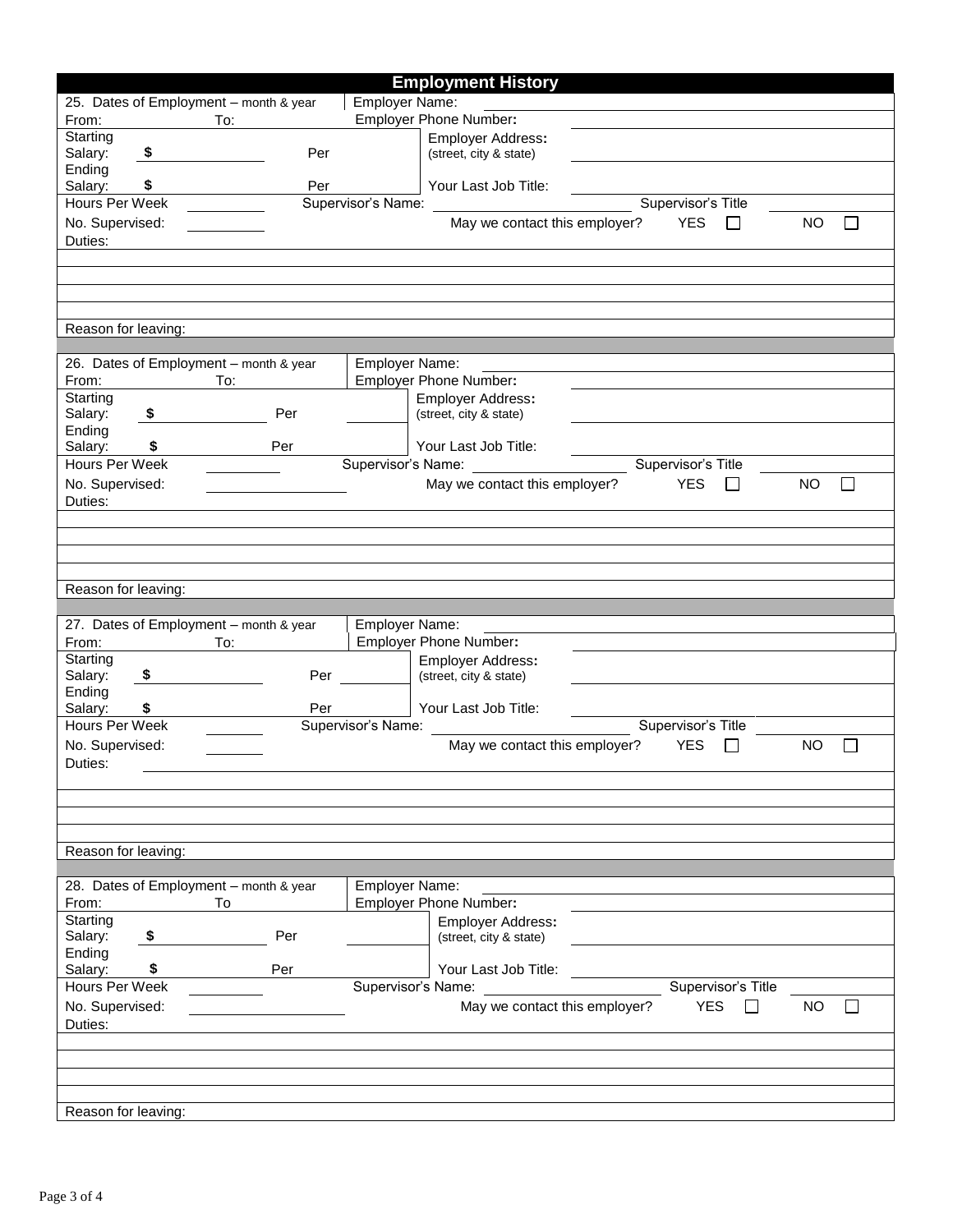|                                        |      |     |     |                       | <b>Employment History</b>             |                    |               |           |              |
|----------------------------------------|------|-----|-----|-----------------------|---------------------------------------|--------------------|---------------|-----------|--------------|
| 25. Dates of Employment - month & year |      |     |     | Employer Name:        |                                       |                    |               |           |              |
| From:                                  |      | To: |     |                       | <b>Employer Phone Number:</b>         |                    |               |           |              |
| Starting                               |      |     |     |                       | Employer Address:                     |                    |               |           |              |
| Salary:                                | - \$ |     | Per |                       | (street, city & state)                |                    |               |           |              |
| Ending                                 |      |     |     |                       |                                       |                    |               |           |              |
| Salary:                                | \$   |     | Per |                       | Your Last Job Title:                  |                    |               |           |              |
| Hours Per Week                         |      |     |     |                       | Supervisor's Name:                    | Supervisor's Title |               |           |              |
| No. Supervised:                        |      |     |     |                       | May we contact this employer?         | <b>YES</b>         | $\mathsf{L}$  | <b>NO</b> | $\mathsf{L}$ |
| Duties:                                |      |     |     |                       |                                       |                    |               |           |              |
|                                        |      |     |     |                       |                                       |                    |               |           |              |
|                                        |      |     |     |                       |                                       |                    |               |           |              |
|                                        |      |     |     |                       |                                       |                    |               |           |              |
| Reason for leaving:                    |      |     |     |                       |                                       |                    |               |           |              |
|                                        |      |     |     |                       |                                       |                    |               |           |              |
| 26. Dates of Employment - month & year |      |     |     | Employer Name:        |                                       |                    |               |           |              |
| From:                                  |      | To: |     |                       | <b>Employer Phone Number:</b>         |                    |               |           |              |
| Starting                               |      |     |     |                       | Employer Address:                     |                    |               |           |              |
| Salary:                                | \$   |     | Per |                       | (street, city & state)                |                    |               |           |              |
| Ending                                 |      |     |     |                       |                                       |                    |               |           |              |
| Salary:                                | \$   |     | Per |                       | Your Last Job Title:                  |                    |               |           |              |
| Hours Per Week                         |      |     |     |                       | Supervisor's Name: Supervisor's Title |                    |               |           |              |
| No. Supervised:                        |      |     |     |                       | May we contact this employer?         | <b>YES</b>         | ΙI            | <b>NO</b> | $\mathsf{L}$ |
| Duties:                                |      |     |     |                       |                                       |                    |               |           |              |
|                                        |      |     |     |                       |                                       |                    |               |           |              |
|                                        |      |     |     |                       |                                       |                    |               |           |              |
|                                        |      |     |     |                       |                                       |                    |               |           |              |
|                                        |      |     |     |                       |                                       |                    |               |           |              |
|                                        |      |     |     |                       |                                       |                    |               |           |              |
| Reason for leaving:                    |      |     |     |                       |                                       |                    |               |           |              |
|                                        |      |     |     |                       |                                       |                    |               |           |              |
| 27. Dates of Employment - month & year |      |     |     | Employer Name:        |                                       |                    |               |           |              |
| From:                                  |      | To: |     |                       | Employer Phone Number:                |                    |               |           |              |
| Starting                               |      |     |     |                       | <b>Employer Address:</b>              |                    |               |           |              |
| Salary:                                | \$   |     | Per |                       | (street, city & state)                |                    |               |           |              |
| Ending                                 |      |     |     |                       |                                       |                    |               |           |              |
| Salary:                                | \$   |     | Per |                       | Your Last Job Title:                  |                    |               |           |              |
| Hours Per Week                         |      |     |     |                       | Supervisor's Name:                    | Supervisor's Title |               |           |              |
| No. Supervised:                        |      |     |     |                       | May we contact this employer?         | <b>YES</b>         | $\mathcal{L}$ | <b>NO</b> |              |
| Duties:                                |      |     |     |                       |                                       |                    |               |           |              |
|                                        |      |     |     |                       |                                       |                    |               |           |              |
|                                        |      |     |     |                       |                                       |                    |               |           |              |
|                                        |      |     |     |                       |                                       |                    |               |           |              |
|                                        |      |     |     |                       |                                       |                    |               |           |              |
| Reason for leaving:                    |      |     |     |                       |                                       |                    |               |           |              |
| 28. Dates of Employment - month & year |      |     |     | <b>Employer Name:</b> |                                       |                    |               |           |              |
| From:                                  |      | To  |     |                       | <b>Employer Phone Number:</b>         |                    |               |           |              |
| Starting                               |      |     |     |                       | Employer Address:                     |                    |               |           |              |
| Salary:                                | \$   |     | Per |                       | (street, city & state)                |                    |               |           |              |
| Ending                                 |      |     |     |                       |                                       |                    |               |           |              |
| Salary:                                | \$   |     | Per |                       | Your Last Job Title:                  |                    |               |           |              |
| Hours Per Week                         |      |     |     |                       | Supervisor's Name:                    | Supervisor's Title |               |           |              |
| No. Supervised:                        |      |     |     |                       | May we contact this employer?         | <b>YES</b>         | $\sim$        | NO        | $\mathbf{L}$ |
| Duties:                                |      |     |     |                       |                                       |                    |               |           |              |
|                                        |      |     |     |                       |                                       |                    |               |           |              |
|                                        |      |     |     |                       |                                       |                    |               |           |              |
|                                        |      |     |     |                       |                                       |                    |               |           |              |
| Reason for leaving:                    |      |     |     |                       |                                       |                    |               |           |              |